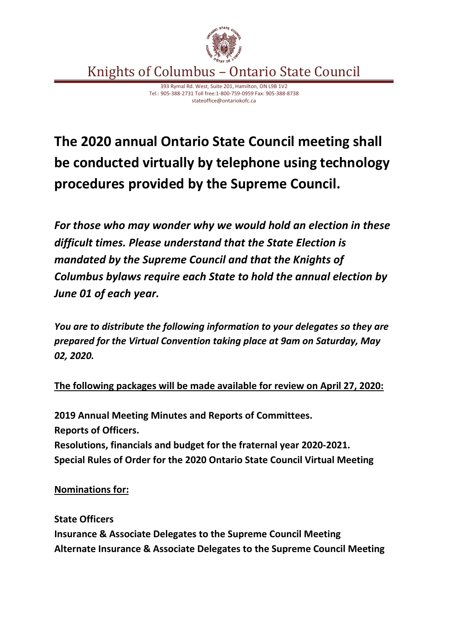

Knights of Columbus – Ontario State Council

393 Rymal Rd. West, Suite 201, Hamilton, ON L9B 1V2 Tel.: 905-388-2731 Toll free:1-800-759-0959 Fax: 905-388-8738 stateoffice@ontariokofc.ca

## **The 2020 annual Ontario State Council meeting shall be conducted virtually by telephone using technology procedures provided by the Supreme Council.**

*For those who may wonder why we would hold an election in these difficult times. Please understand that the State Election is mandated by the Supreme Council and that the Knights of Columbus bylaws require each State to hold the annual election by June 01 of each year.* 

*You are to distribute the following information to your delegates so they are prepared for the Virtual Convention taking place at 9am on Saturday, May 02, 2020.*

**The following packages will be made available for review on April 27, 2020:**

**2019 Annual Meeting Minutes and Reports of Committees. Reports of Officers. Resolutions, financials and budget for the fraternal year 2020-2021. Special Rules of Order for the 2020 Ontario State Council Virtual Meeting**

**Nominations for:**

**State Officers Insurance & Associate Delegates to the Supreme Council Meeting Alternate Insurance & Associate Delegates to the Supreme Council Meeting**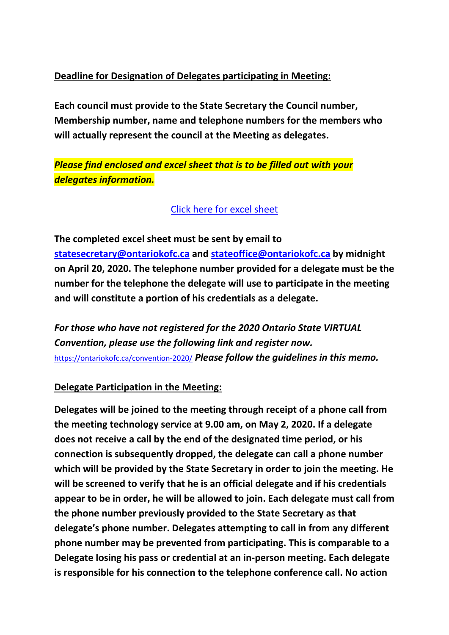## **Deadline for Designation of Delegates participating in Meeting:**

**Each council must provide to the State Secretary the Council number, Membership number, name and telephone numbers for the members who will actually represent the council at the Meeting as delegates.**

*Please find enclosed and excel sheet that is to be filled out with your delegates information.*

Click here [for excel sheet](https://ontariokofc.ca/wp-content/uploads/2020/04/Voting-Delegates-Info-EN.xlsx)

**The completed excel sheet must be sent by email to [statesecretary@ontariokofc.ca](mailto:statesecretary@ontariokofc.ca) and [stateoffice@ontariokofc.ca](mailto:stateoffice@ontariokofc.ca) by midnight on April 20, 2020. The telephone number provided for a delegate must be the number for the telephone the delegate will use to participate in the meeting and will constitute a portion of his credentials as a delegate.**

*For those who have not registered for the 2020 Ontario State VIRTUAL Convention, please use the following link and register now.* <https://ontariokofc.ca/convention-2020/> *Please follow the guidelines in this memo.*

## **Delegate Participation in the Meeting:**

**Delegates will be joined to the meeting through receipt of a phone call from the meeting technology service at 9.00 am, on May 2, 2020. If a delegate does not receive a call by the end of the designated time period, or his connection is subsequently dropped, the delegate can call a phone number which will be provided by the State Secretary in order to join the meeting. He will be screened to verify that he is an official delegate and if his credentials appear to be in order, he will be allowed to join. Each delegate must call from the phone number previously provided to the State Secretary as that delegate's phone number. Delegates attempting to call in from any different phone number may be prevented from participating. This is comparable to a Delegate losing his pass or credential at an in-person meeting. Each delegate is responsible for his connection to the telephone conference call. No action**